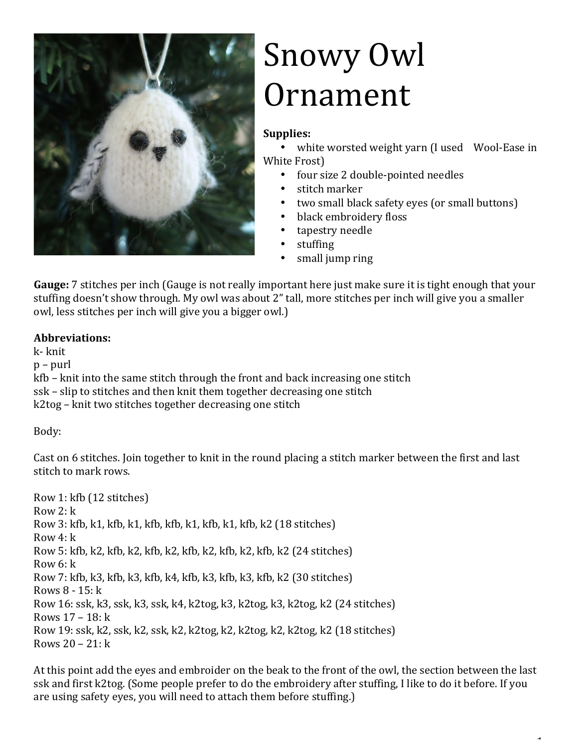

## Snowy Owl Ornament

## Supplies:

white worsted weight yarn (I used Wool-Ease in White Frost)

- four size 2 double-pointed needles
- stitch marker
- two small black safety eyes (or small buttons)

 $\ddot{\phantom{1}}$ 

- black embroidery floss
- tapestry needle
- stuffing
- small jump ring

**Gauge:** 7 stitches per inch (Gauge is not really important here just make sure it is tight enough that your stuffing doesn't show through. My owl was about 2" tall, more stitches per inch will give you a smaller owl, less stitches per inch will give you a bigger owl.)

## **Abbreviations:**

k- knit  $p$  – purl  $kfb$  – knit into the same stitch through the front and back increasing one stitch ssk – slip to stitches and then knit them together decreasing one stitch k2tog – knit two stitches together decreasing one stitch

Body:

Cast on 6 stitches. Join together to knit in the round placing a stitch marker between the first and last stitch to mark rows.

Row 1: kfb (12 stitches) Row  $2: k$ Row 3: kfb, k1, kfb, k1, kfb, kfb, k1, kfb, k1, kfb, k2 (18 stitches) Row  $4: k$ Row 5:  $kfb$ ,  $k2$ ,  $kfb$ ,  $k2$ ,  $kfb$ ,  $k2$ ,  $kfb$ ,  $k2$ ,  $kfb$ ,  $k2$ ,  $kfb$ ,  $k2$  (24 stitches)  $Row 6: k$ Row 7:  $kfb$ ,  $k3$ ,  $kfb$ ,  $k3$ ,  $kfb$ ,  $k4$ ,  $kfb$ ,  $k3$ ,  $kfb$ ,  $k3$ ,  $kfb$ ,  $k2$  (30 stitches) Rows  $8 - 15$ :  $k$ Row 16: ssk, k3, ssk, k3, ssk, k4, k2tog, k3, k2tog, k3, k2tog, k2 (24 stitches) Rows  $17 - 18: k$ Row 19: ssk, k2, ssk, k2, ssk, k2, k2tog, k2, k2tog, k2, k2tog, k2 (18 stitches) Rows  $20 - 21$ :  $k$ 

At this point add the eyes and embroider on the beak to the front of the owl, the section between the last ssk and first k2tog. (Some people prefer to do the embroidery after stuffing, I like to do it before. If you are using safety eyes, you will need to attach them before stuffing.)